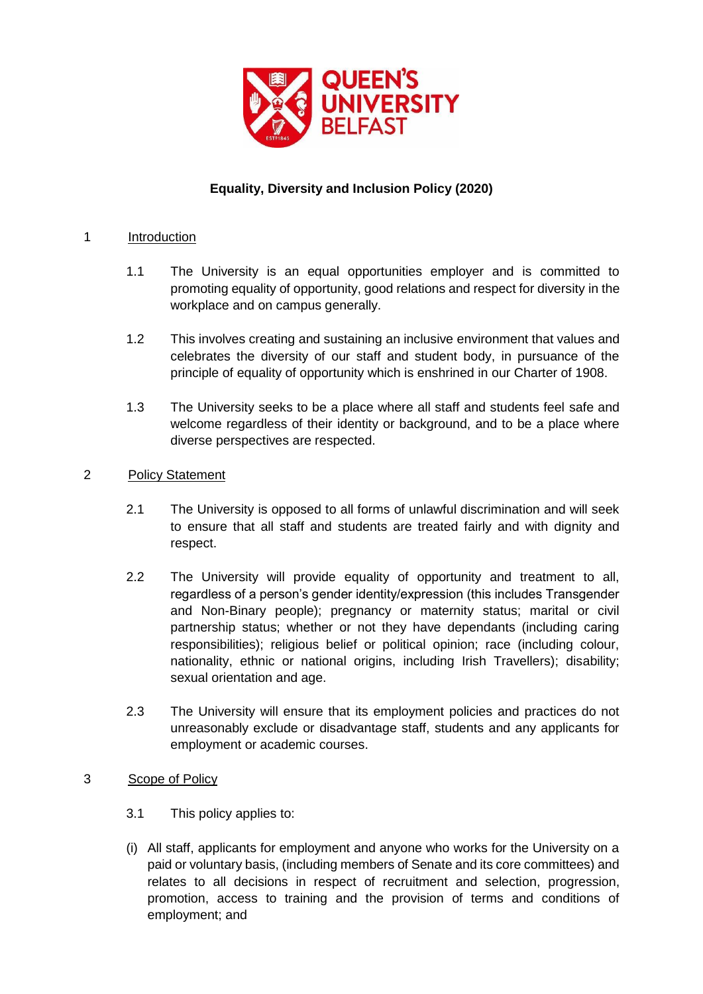

# **Equality, Diversity and Inclusion Policy (2020)**

### 1 Introduction

- 1.1 The University is an equal opportunities employer and is committed to promoting equality of opportunity, good relations and respect for diversity in the workplace and on campus generally.
- 1.2 This involves creating and sustaining an inclusive environment that values and celebrates the diversity of our staff and student body, in pursuance of the principle of equality of opportunity which is enshrined in our Charter of 1908.
- 1.3 The University seeks to be a place where all staff and students feel safe and welcome regardless of their identity or background, and to be a place where diverse perspectives are respected.

# 2 Policy Statement

- 2.1 The University is opposed to all forms of unlawful discrimination and will seek to ensure that all staff and students are treated fairly and with dignity and respect.
- 2.2 The University will provide equality of opportunity and treatment to all, regardless of a person's gender identity/expression (this includes Transgender and Non-Binary people); pregnancy or maternity status; marital or civil partnership status; whether or not they have dependants (including caring responsibilities); religious belief or political opinion; race (including colour, nationality, ethnic or national origins, including Irish Travellers); disability; sexual orientation and age.
- 2.3 The University will ensure that its employment policies and practices do not unreasonably exclude or disadvantage staff, students and any applicants for employment or academic courses.

#### 3 Scope of Policy

- 3.1 This policy applies to:
- (i) All staff, applicants for employment and anyone who works for the University on a paid or voluntary basis, (including members of Senate and its core committees) and relates to all decisions in respect of recruitment and selection, progression, promotion, access to training and the provision of terms and conditions of employment; and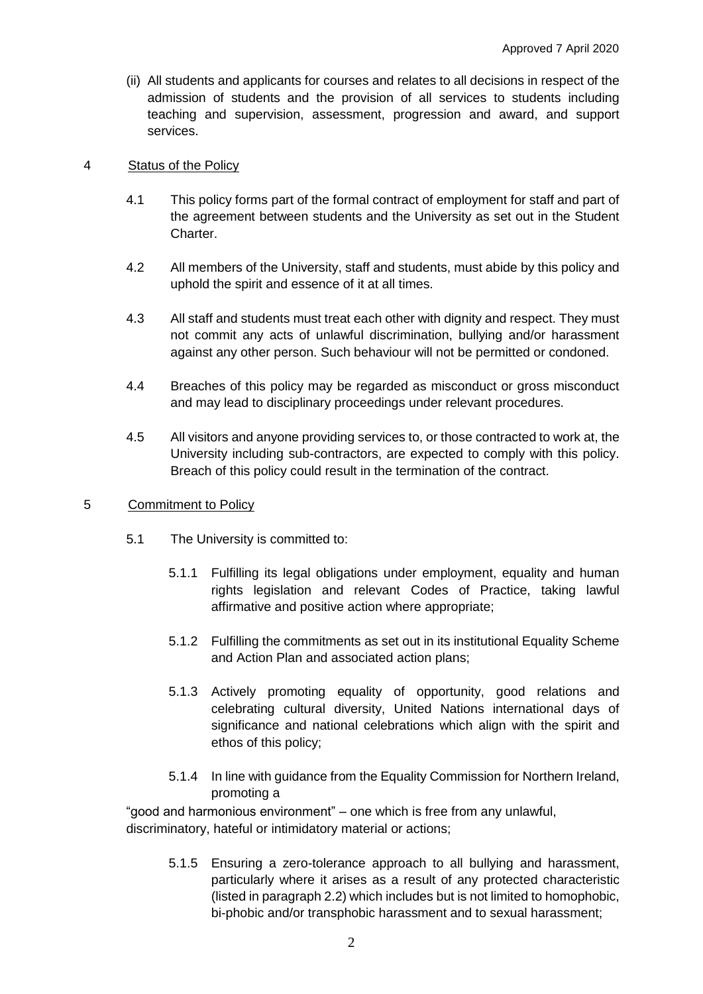(ii) All students and applicants for courses and relates to all decisions in respect of the admission of students and the provision of all services to students including teaching and supervision, assessment, progression and award, and support services.

#### 4 Status of the Policy

- 4.1 This policy forms part of the formal contract of employment for staff and part of the agreement between students and the University as set out in the Student Charter.
- 4.2 All members of the University, staff and students, must abide by this policy and uphold the spirit and essence of it at all times.
- 4.3 All staff and students must treat each other with dignity and respect. They must not commit any acts of unlawful discrimination, bullying and/or harassment against any other person. Such behaviour will not be permitted or condoned.
- 4.4 Breaches of this policy may be regarded as misconduct or gross misconduct and may lead to disciplinary proceedings under relevant procedures.
- 4.5 All visitors and anyone providing services to, or those contracted to work at, the University including sub-contractors, are expected to comply with this policy. Breach of this policy could result in the termination of the contract.

#### 5 Commitment to Policy

- 5.1 The University is committed to:
	- 5.1.1 Fulfilling its legal obligations under employment, equality and human rights legislation and relevant Codes of Practice, taking lawful affirmative and positive action where appropriate;
	- 5.1.2 Fulfilling the commitments as set out in its institutional Equality Scheme and Action Plan and associated action plans;
	- 5.1.3 Actively promoting equality of opportunity, good relations and celebrating cultural diversity, United Nations international days of significance and national celebrations which align with the spirit and ethos of this policy;
	- 5.1.4 In line with guidance from the Equality Commission for Northern Ireland, promoting a

"good and harmonious environment" – one which is free from any unlawful, discriminatory, hateful or intimidatory material or actions;

> 5.1.5 Ensuring a zero-tolerance approach to all bullying and harassment, particularly where it arises as a result of any protected characteristic (listed in paragraph 2.2) which includes but is not limited to homophobic, bi-phobic and/or transphobic harassment and to sexual harassment;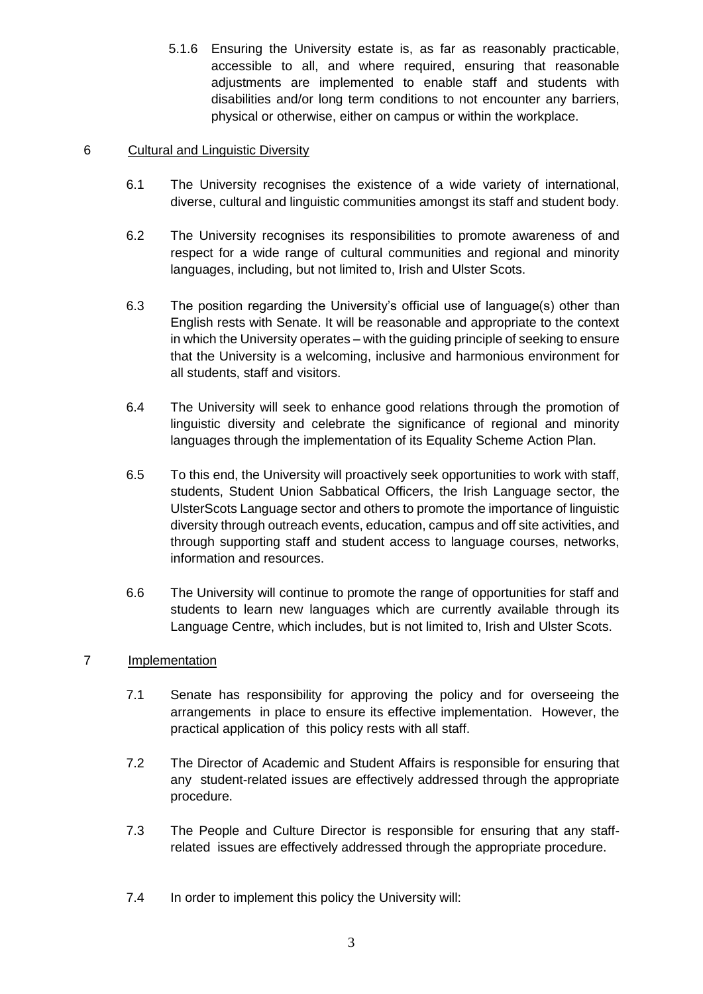5.1.6 Ensuring the University estate is, as far as reasonably practicable, accessible to all, and where required, ensuring that reasonable adjustments are implemented to enable staff and students with disabilities and/or long term conditions to not encounter any barriers, physical or otherwise, either on campus or within the workplace.

# 6 Cultural and Linguistic Diversity

- 6.1 The University recognises the existence of a wide variety of international, diverse, cultural and linguistic communities amongst its staff and student body.
- 6.2 The University recognises its responsibilities to promote awareness of and respect for a wide range of cultural communities and regional and minority languages, including, but not limited to, Irish and Ulster Scots.
- 6.3 The position regarding the University's official use of language(s) other than English rests with Senate. It will be reasonable and appropriate to the context in which the University operates – with the guiding principle of seeking to ensure that the University is a welcoming, inclusive and harmonious environment for all students, staff and visitors.
- 6.4 The University will seek to enhance good relations through the promotion of linguistic diversity and celebrate the significance of regional and minority languages through the implementation of its Equality Scheme Action Plan.
- 6.5 To this end, the University will proactively seek opportunities to work with staff, students, Student Union Sabbatical Officers, the Irish Language sector, the UlsterScots Language sector and others to promote the importance of linguistic diversity through outreach events, education, campus and off site activities, and through supporting staff and student access to language courses, networks, information and resources.
- 6.6 The University will continue to promote the range of opportunities for staff and students to learn new languages which are currently available through its Language Centre, which includes, but is not limited to, Irish and Ulster Scots.

# 7 Implementation

- 7.1 Senate has responsibility for approving the policy and for overseeing the arrangements in place to ensure its effective implementation. However, the practical application of this policy rests with all staff.
- 7.2 The Director of Academic and Student Affairs is responsible for ensuring that any student-related issues are effectively addressed through the appropriate procedure.
- 7.3 The People and Culture Director is responsible for ensuring that any staffrelated issues are effectively addressed through the appropriate procedure.
- 7.4 In order to implement this policy the University will: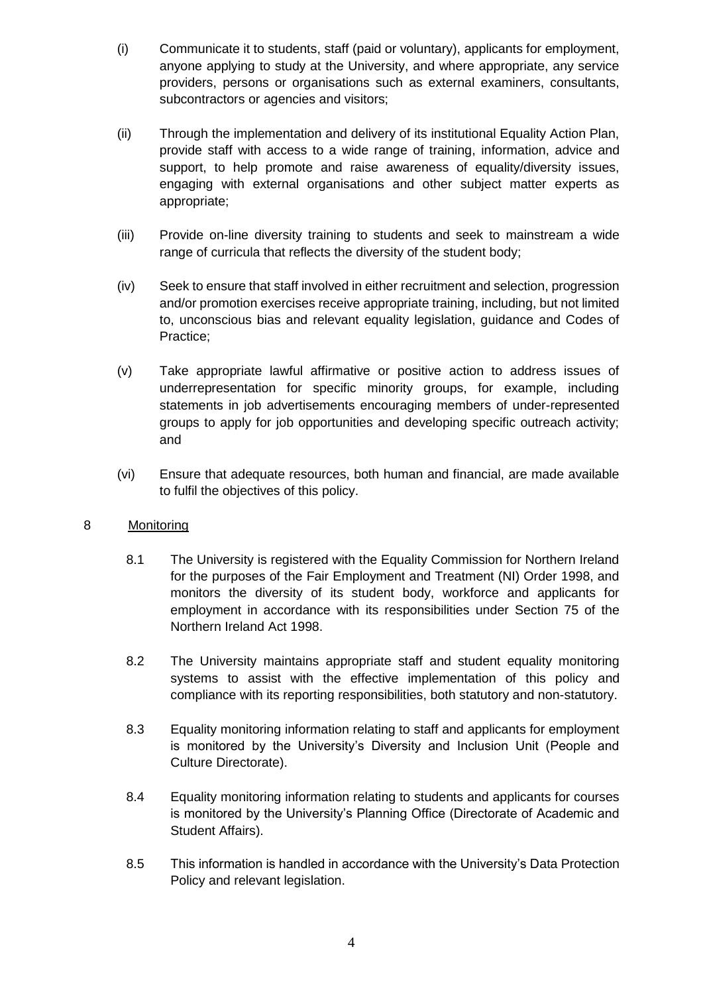- (i) Communicate it to students, staff (paid or voluntary), applicants for employment, anyone applying to study at the University, and where appropriate, any service providers, persons or organisations such as external examiners, consultants, subcontractors or agencies and visitors;
- (ii) Through the implementation and delivery of its institutional Equality Action Plan, provide staff with access to a wide range of training, information, advice and support, to help promote and raise awareness of equality/diversity issues, engaging with external organisations and other subject matter experts as appropriate;
- (iii) Provide on-line diversity training to students and seek to mainstream a wide range of curricula that reflects the diversity of the student body;
- (iv) Seek to ensure that staff involved in either recruitment and selection, progression and/or promotion exercises receive appropriate training, including, but not limited to, unconscious bias and relevant equality legislation, guidance and Codes of Practice;
- (v) Take appropriate lawful affirmative or positive action to address issues of underrepresentation for specific minority groups, for example, including statements in job advertisements encouraging members of under-represented groups to apply for job opportunities and developing specific outreach activity; and
- (vi) Ensure that adequate resources, both human and financial, are made available to fulfil the objectives of this policy.

#### 8 Monitoring

- 8.1 The University is registered with the Equality Commission for Northern Ireland for the purposes of the Fair Employment and Treatment (NI) Order 1998, and monitors the diversity of its student body, workforce and applicants for employment in accordance with its responsibilities under Section 75 of the Northern Ireland Act 1998.
- 8.2 The University maintains appropriate staff and student equality monitoring systems to assist with the effective implementation of this policy and compliance with its reporting responsibilities, both statutory and non-statutory.
- 8.3 Equality monitoring information relating to staff and applicants for employment is monitored by the University's Diversity and Inclusion Unit (People and Culture Directorate).
- 8.4 Equality monitoring information relating to students and applicants for courses is monitored by the University's Planning Office (Directorate of Academic and Student Affairs).
- 8.5 This information is handled in accordance with the University's Data Protection Policy and relevant legislation.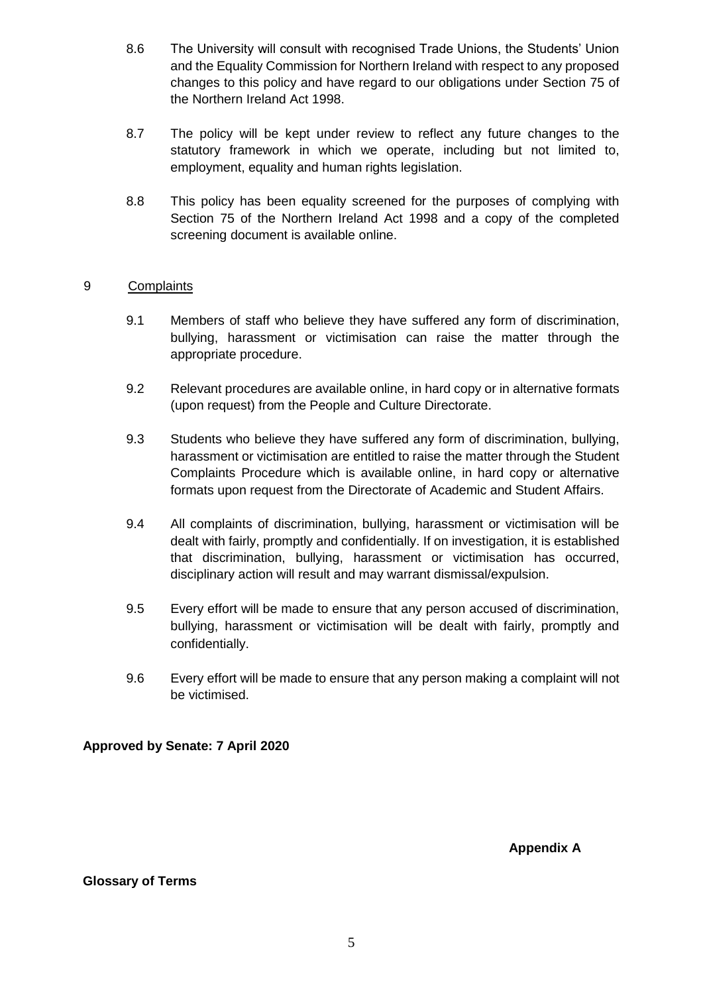- 8.6 The University will consult with recognised Trade Unions, the Students' Union and the Equality Commission for Northern Ireland with respect to any proposed changes to this policy and have regard to our obligations under Section 75 of the Northern Ireland Act 1998.
- 8.7 The policy will be kept under review to reflect any future changes to the statutory framework in which we operate, including but not limited to, employment, equality and human rights legislation.
- 8.8 This policy has been equality screened for the purposes of complying with Section 75 of the Northern Ireland Act 1998 and a copy of the completed screening document is available online.

# 9 Complaints

- 9.1 Members of staff who believe they have suffered any form of discrimination, bullying, harassment or victimisation can raise the matter through the appropriate procedure.
- 9.2 Relevant procedures are available online, in hard copy or in alternative formats (upon request) from the People and Culture Directorate.
- 9.3 Students who believe they have suffered any form of discrimination, bullying, harassment or victimisation are entitled to raise the matter through the Student Complaints Procedure which is available online, in hard copy or alternative formats upon request from the Directorate of Academic and Student Affairs.
- 9.4 All complaints of discrimination, bullying, harassment or victimisation will be dealt with fairly, promptly and confidentially. If on investigation, it is established that discrimination, bullying, harassment or victimisation has occurred, disciplinary action will result and may warrant dismissal/expulsion.
- 9.5 Every effort will be made to ensure that any person accused of discrimination, bullying, harassment or victimisation will be dealt with fairly, promptly and confidentially.
- 9.6 Every effort will be made to ensure that any person making a complaint will not be victimised.

**Approved by Senate: 7 April 2020** 

**Appendix A** 

#### **Glossary of Terms**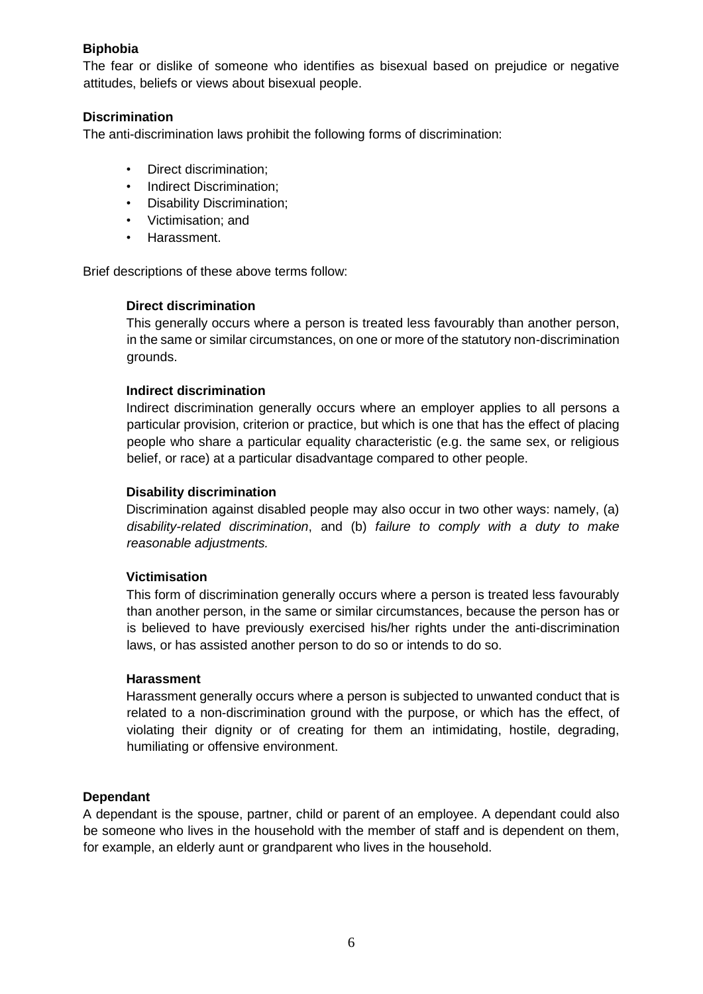# **Biphobia**

The fear or dislike of someone who identifies as bisexual based on prejudice or negative attitudes, beliefs or views about bisexual people.

# **Discrimination**

The anti-discrimination laws prohibit the following forms of discrimination:

- Direct discrimination;
- Indirect Discrimination;
- Disability Discrimination;
- Victimisation; and
- Harassment.

Brief descriptions of these above terms follow:

#### **Direct discrimination**

This generally occurs where a person is treated less favourably than another person, in the same or similar circumstances, on one or more of the statutory non-discrimination grounds.

#### **Indirect discrimination**

Indirect discrimination generally occurs where an employer applies to all persons a particular provision, criterion or practice, but which is one that has the effect of placing people who share a particular equality characteristic (e.g. the same sex, or religious belief, or race) at a particular disadvantage compared to other people.

### **Disability discrimination**

Discrimination against disabled people may also occur in two other ways: namely, (a) *disability-related discrimination*, and (b) *failure to comply with a duty to make reasonable adjustments.*

#### **Victimisation**

This form of discrimination generally occurs where a person is treated less favourably than another person, in the same or similar circumstances, because the person has or is believed to have previously exercised his/her rights under the anti-discrimination laws, or has assisted another person to do so or intends to do so.

#### **Harassment**

Harassment generally occurs where a person is subjected to unwanted conduct that is related to a non-discrimination ground with the purpose, or which has the effect, of violating their dignity or of creating for them an intimidating, hostile, degrading, humiliating or offensive environment.

#### **Dependant**

A dependant is the spouse, partner, child or parent of an employee. A dependant could also be someone who lives in the household with the member of staff and is dependent on them, for example, an elderly aunt or grandparent who lives in the household.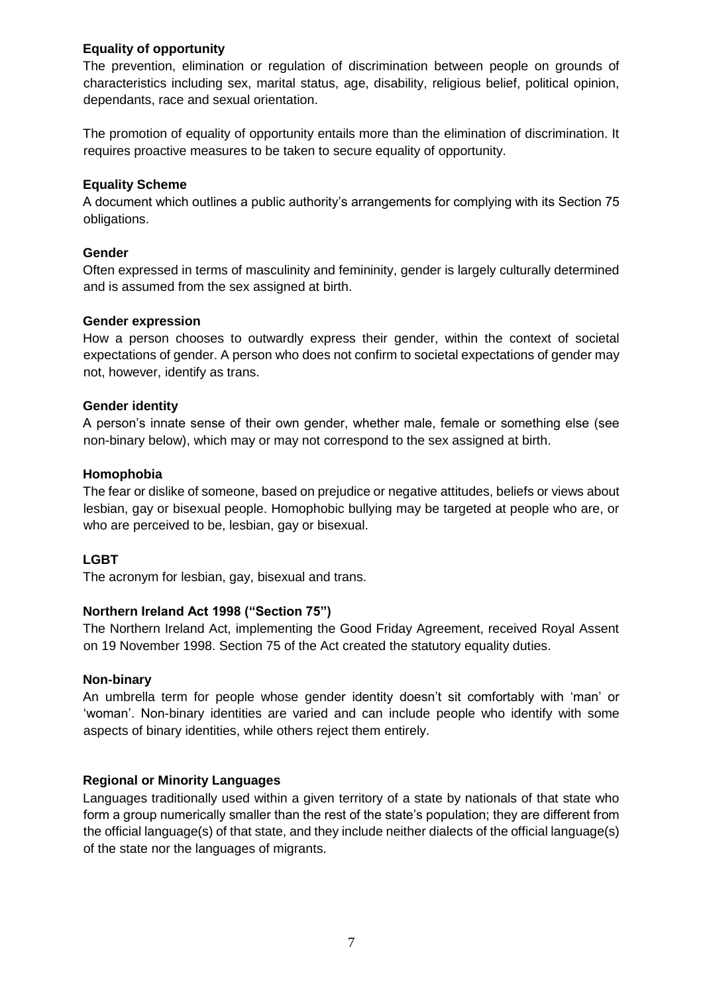### **Equality of opportunity**

The prevention, elimination or regulation of discrimination between people on grounds of characteristics including sex, marital status, age, disability, religious belief, political opinion, dependants, race and sexual orientation.

The promotion of equality of opportunity entails more than the elimination of discrimination. It requires proactive measures to be taken to secure equality of opportunity.

### **Equality Scheme**

A document which outlines a public authority's arrangements for complying with its Section 75 obligations.

### **Gender**

Often expressed in terms of masculinity and femininity, gender is largely culturally determined and is assumed from the sex assigned at birth.

# **Gender expression**

How a person chooses to outwardly express their gender, within the context of societal expectations of gender. A person who does not confirm to societal expectations of gender may not, however, identify as trans.

# **Gender identity**

A person's innate sense of their own gender, whether male, female or something else (see non-binary below), which may or may not correspond to the sex assigned at birth.

# **Homophobia**

The fear or dislike of someone, based on prejudice or negative attitudes, beliefs or views about lesbian, gay or bisexual people. Homophobic bullying may be targeted at people who are, or who are perceived to be, lesbian, gay or bisexual.

# **LGBT**

The acronym for lesbian, gay, bisexual and trans.

#### **Northern Ireland Act 1998 ("Section 75")**

The Northern Ireland Act, implementing the Good Friday Agreement, received Royal Assent on 19 November 1998. Section 75 of the Act created the statutory equality duties.

#### **Non-binary**

An umbrella term for people whose gender identity doesn't sit comfortably with 'man' or 'woman'. Non-binary identities are varied and can include people who identify with some aspects of binary identities, while others reject them entirely.

# **Regional or Minority Languages**

Languages traditionally used within a given territory of a state by nationals of that state who form a group numerically smaller than the rest of the state's population; they are different from the official language(s) of that state, and they include neither dialects of the official language(s) of the state nor the languages of migrants.